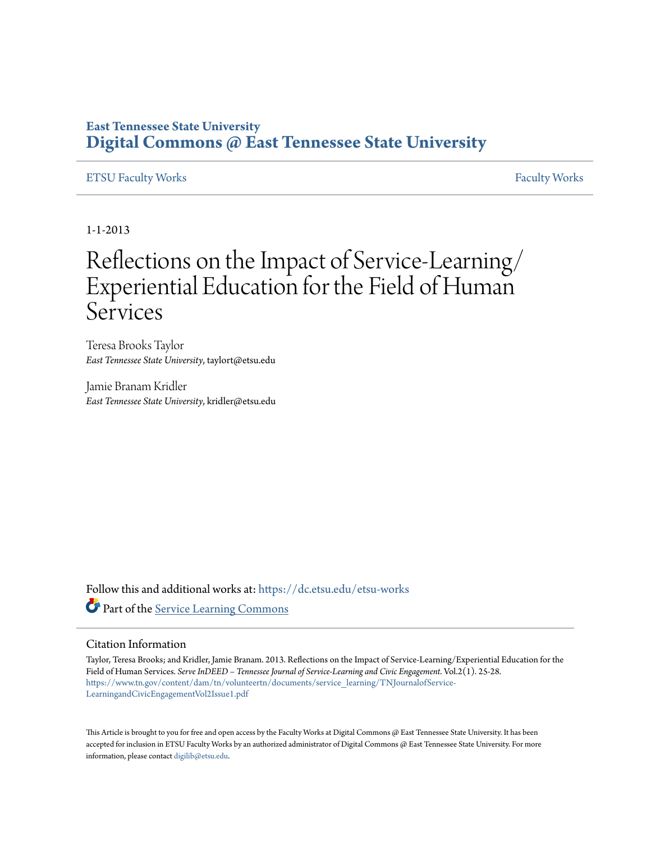### **East Tennessee State University [Digital Commons @ East Tennessee State University](https://dc.etsu.edu/?utm_source=dc.etsu.edu%2Fetsu-works%2F3630&utm_medium=PDF&utm_campaign=PDFCoverPages)**

#### [ETSU Faculty Works](https://dc.etsu.edu/etsu-works?utm_source=dc.etsu.edu%2Fetsu-works%2F3630&utm_medium=PDF&utm_campaign=PDFCoverPages) [Faculty Works](https://dc.etsu.edu/faculty-works?utm_source=dc.etsu.edu%2Fetsu-works%2F3630&utm_medium=PDF&utm_campaign=PDFCoverPages) Faculty Works Faculty Works Faculty Works Faculty Works Faculty Works Faculty Works Faculty Morks Faculty Morks Faculty Morks Faculty Morks Faculty Morks Faculty Morks Faculty Morks Faculty

1-1-2013

## Reflections on the Impact of Service-Learning/ Experiential Education for the Field of Human **Services**

Teresa Brooks Taylor *East Tennessee State University*, taylort@etsu.edu

Jamie Branam Kridler *East Tennessee State University*, kridler@etsu.edu

Follow this and additional works at: [https://dc.etsu.edu/etsu-works](https://dc.etsu.edu/etsu-works?utm_source=dc.etsu.edu%2Fetsu-works%2F3630&utm_medium=PDF&utm_campaign=PDFCoverPages) Part of the [Service Learning Commons](http://network.bepress.com/hgg/discipline/1024?utm_source=dc.etsu.edu%2Fetsu-works%2F3630&utm_medium=PDF&utm_campaign=PDFCoverPages)

#### Citation Information

Taylor, Teresa Brooks; and Kridler, Jamie Branam. 2013. Reflections on the Impact of Service-Learning/Experiential Education for the Field of Human Services. *Serve InDEED – Tennessee Journal of Service-Learning and Civic Engagement*. Vol.2(1). 25-28. [https://www.tn.gov/content/dam/tn/volunteertn/documents/service\\_learning/TNJournalofService-](https://www.tn.gov/content/dam/tn/volunteertn/documents/service_learning/TNJournalofService-LearningandCivicEngagementVol2Issue1.pdf)[LearningandCivicEngagementVol2Issue1.pdf](https://www.tn.gov/content/dam/tn/volunteertn/documents/service_learning/TNJournalofService-LearningandCivicEngagementVol2Issue1.pdf)

This Article is brought to you for free and open access by the Faculty Works at Digital Commons @ East Tennessee State University. It has been accepted for inclusion in ETSU Faculty Works by an authorized administrator of Digital Commons @ East Tennessee State University. For more information, please contact [digilib@etsu.edu.](mailto:digilib@etsu.edu)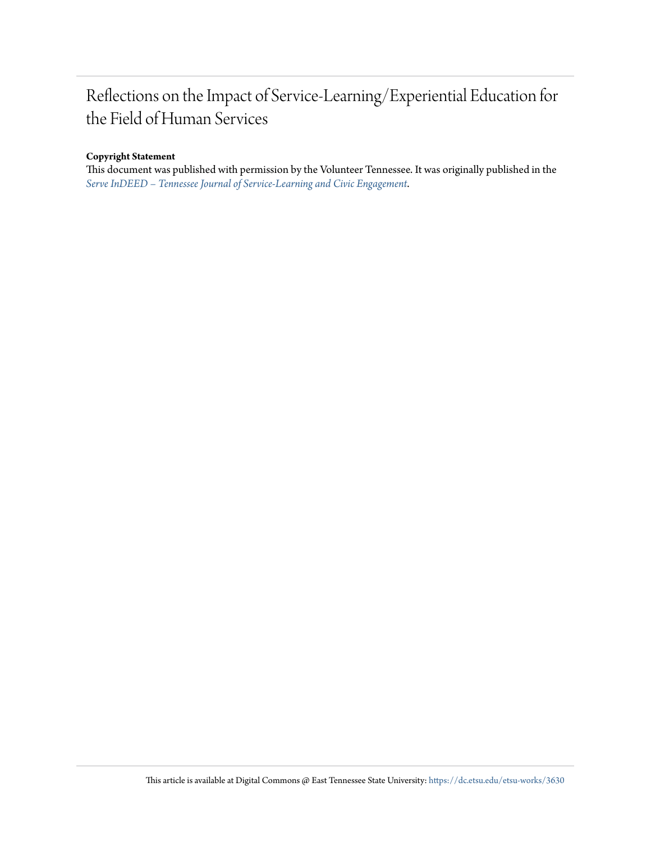## Reflections on the Impact of Service-Learning/Experiential Education for the Field of Human Services

#### **Copyright Statement**

This document was published with permission by the Volunteer Tennessee. It was originally published in the *[Serve InDEED – Tennessee Journal of Service-Learning and Civic Engagement](https://www.tn.gov/content/dam/tn/volunteertn/documents/service_learning/TNJournalofService-LearningandCivicEngagementVol2Issue1.pdf)*.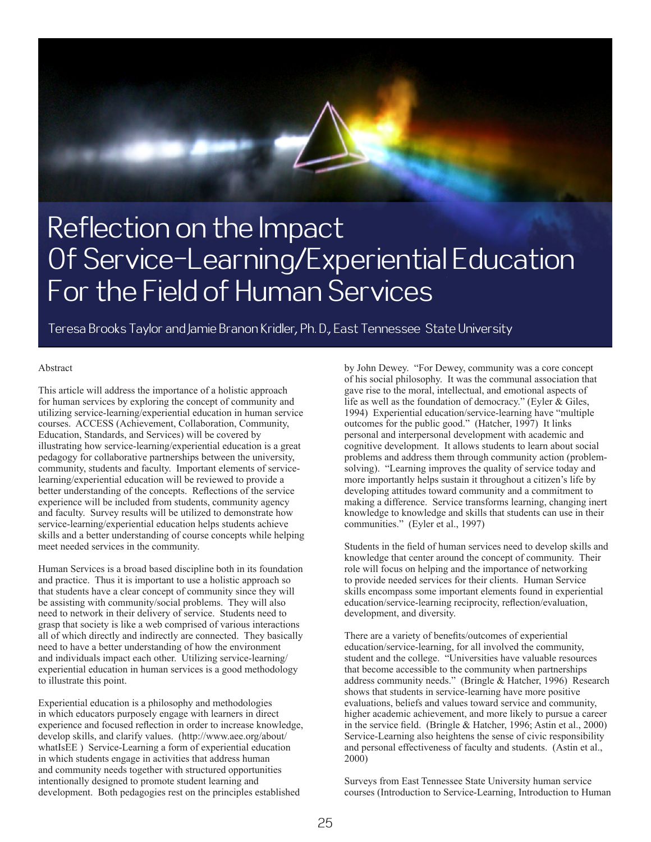# Reflection on the Impact Of Service-Learning/Experiential Education For the Field of Human Services

Teresa Brooks Taylor and Jamie Branon Kridler, Ph. D., East Tennessee State University

#### Abstract

This article will address the importance of a holistic approach for human services by exploring the concept of community and utilizing service-learning/experiential education in human service courses. ACCESS (Achievement, Collaboration, Community, Education, Standards, and Services) will be covered by illustrating how service-learning/experiential education is a great pedagogy for collaborative partnerships between the university, community, students and faculty. Important elements of servicelearning/experiential education will be reviewed to provide a better understanding of the concepts. Reflections of the service experience will be included from students, community agency and faculty. Survey results will be utilized to demonstrate how service-learning/experiential education helps students achieve skills and a better understanding of course concepts while helping meet needed services in the community.

Human Services is a broad based discipline both in its foundation and practice. Thus it is important to use a holistic approach so that students have a clear concept of community since they will be assisting with community/social problems. They will also need to network in their delivery of service. Students need to grasp that society is like a web comprised of various interactions all of which directly and indirectly are connected. They basically need to have a better understanding of how the environment and individuals impact each other. Utilizing service-learning/ experiential education in human services is a good methodology to illustrate this point.

Experiential education is a philosophy and methodologies in which educators purposely engage with learners in direct experience and focused reflection in order to increase knowledge, develop skills, and clarify values. (http://www.aee.org/about/ whatIsEE ) Service-Learning a form of experiential education in which students engage in activities that address human and community needs together with structured opportunities intentionally designed to promote student learning and development. Both pedagogies rest on the principles established

by John Dewey. "For Dewey, community was a core concept of his social philosophy. It was the communal association that gave rise to the moral, intellectual, and emotional aspects of life as well as the foundation of democracy." (Eyler & Giles, 1994) Experiential education/service-learning have "multiple outcomes for the public good." (Hatcher, 1997) It links personal and interpersonal development with academic and cognitive development. It allows students to learn about social problems and address them through community action (problemsolving). "Learning improves the quality of service today and more importantly helps sustain it throughout a citizen's life by developing attitudes toward community and a commitment to making a difference. Service transforms learning, changing inert knowledge to knowledge and skills that students can use in their communities." (Eyler et al., 1997)

Students in the field of human services need to develop skills and knowledge that center around the concept of community. Their role will focus on helping and the importance of networking to provide needed services for their clients. Human Service skills encompass some important elements found in experiential education/service-learning reciprocity, reflection/evaluation, development, and diversity.

There are a variety of benefits/outcomes of experiential education/service-learning, for all involved the community, student and the college. "Universities have valuable resources that become accessible to the community when partnerships address community needs." (Bringle & Hatcher, 1996) Research shows that students in service-learning have more positive evaluations, beliefs and values toward service and community, higher academic achievement, and more likely to pursue a career in the service field. (Bringle & Hatcher, 1996; Astin et al., 2000) Service-Learning also heightens the sense of civic responsibility and personal effectiveness of faculty and students. (Astin et al., 2000)

Surveys from East Tennessee State University human service courses (Introduction to Service-Learning, Introduction to Human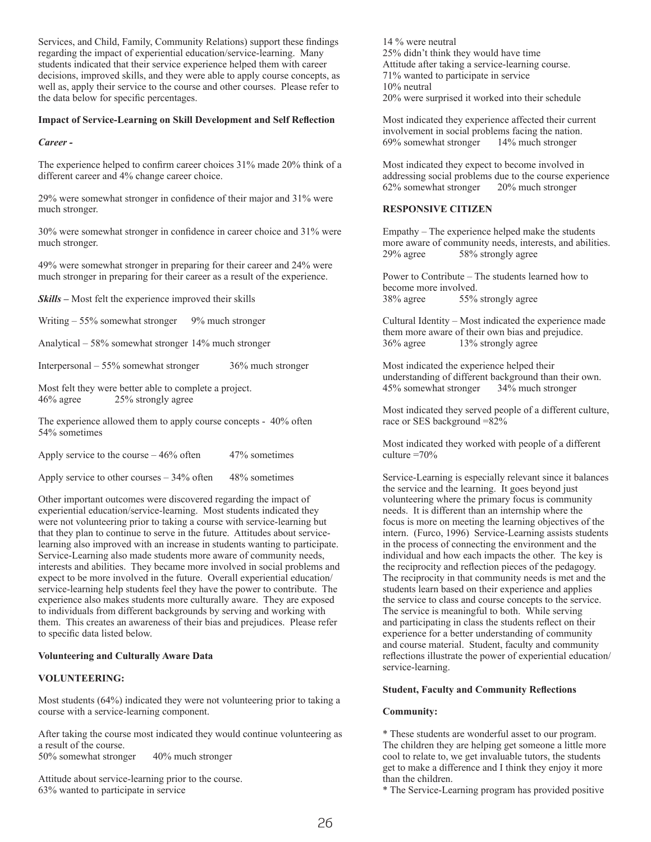Services, and Child, Family, Community Relations) support these findings regarding the impact of experiential education/service-learning. Many students indicated that their service experience helped them with career decisions, improved skills, and they were able to apply course concepts, as well as, apply their service to the course and other courses. Please refer to the data below for specific percentages.

#### **Impact of Service-Learning on Skill Development and Self Reflection**

#### *Career -*

The experience helped to confirm career choices 31% made 20% think of a different career and 4% change career choice.

29% were somewhat stronger in confidence of their major and 31% were much stronger.

30% were somewhat stronger in confidence in career choice and 31% were much stronger.

49% were somewhat stronger in preparing for their career and 24% were much stronger in preparing for their career as a result of the experience.

*Skills –* Most felt the experience improved their skills

Writing – 55% somewhat stronger 9% much stronger

Analytical – 58% somewhat stronger 14% much stronger

Interpersonal – 55% somewhat stronger 36% much stronger

Most felt they were better able to complete a project. 46% agree 25% strongly agree

The experience allowed them to apply course concepts - 40% often 54% sometimes

Apply service to the course  $-46\%$  often 47% sometimes

Apply service to other courses  $-34\%$  often 48% sometimes

Other important outcomes were discovered regarding the impact of experiential education/service-learning. Most students indicated they were not volunteering prior to taking a course with service-learning but that they plan to continue to serve in the future. Attitudes about servicelearning also improved with an increase in students wanting to participate. Service-Learning also made students more aware of community needs, interests and abilities. They became more involved in social problems and expect to be more involved in the future. Overall experiential education/ service-learning help students feel they have the power to contribute. The experience also makes students more culturally aware. They are exposed to individuals from different backgrounds by serving and working with them. This creates an awareness of their bias and prejudices. Please refer to specific data listed below.

#### **Volunteering and Culturally Aware Data**

#### **VOLUNTEERING:**

Most students (64%) indicated they were not volunteering prior to taking a course with a service-learning component.

After taking the course most indicated they would continue volunteering as a result of the course.

50% somewhat stronger 40% much stronger

Attitude about service-learning prior to the course. 63% wanted to participate in service

14 % were neutral 25% didn't think they would have time Attitude after taking a service-learning course. 71% wanted to participate in service 10% neutral 20% were surprised it worked into their schedule

Most indicated they experience affected their current involvement in social problems facing the nation. 69% somewhat stronger 14% much stronger

Most indicated they expect to become involved in addressing social problems due to the course experience 62% somewhat stronger 20% much stronger

#### **RESPONSIVE CITIZEN**

Empathy – The experience helped make the students more aware of community needs, interests, and abilities.<br>29% agree 58% strongly agree 58% strongly agree

Power to Contribute – The students learned how to become more involved.<br>38% agree 55% 38% agree 55% strongly agree

Cultural Identity – Most indicated the experience made them more aware of their own bias and prejudice. 36% agree 13% strongly agree

Most indicated the experience helped their understanding of different background than their own. 45% somewhat stronger 34% much stronger

Most indicated they served people of a different culture, race or SES background =82%

Most indicated they worked with people of a different culture  $=70%$ 

Service-Learning is especially relevant since it balances the service and the learning. It goes beyond just volunteering where the primary focus is community needs. It is different than an internship where the focus is more on meeting the learning objectives of the intern. (Furco, 1996) Service-Learning assists students in the process of connecting the environment and the individual and how each impacts the other. The key is the reciprocity and reflection pieces of the pedagogy. The reciprocity in that community needs is met and the students learn based on their experience and applies the service to class and course concepts to the service. The service is meaningful to both. While serving and participating in class the students reflect on their experience for a better understanding of community and course material. Student, faculty and community reflections illustrate the power of experiential education/ service-learning.

#### **Student, Faculty and Community Reflections**

#### **Community:**

\* These students are wonderful asset to our program. The children they are helping get someone a little more cool to relate to, we get invaluable tutors, the students get to make a difference and I think they enjoy it more than the children.

\* The Service-Learning program has provided positive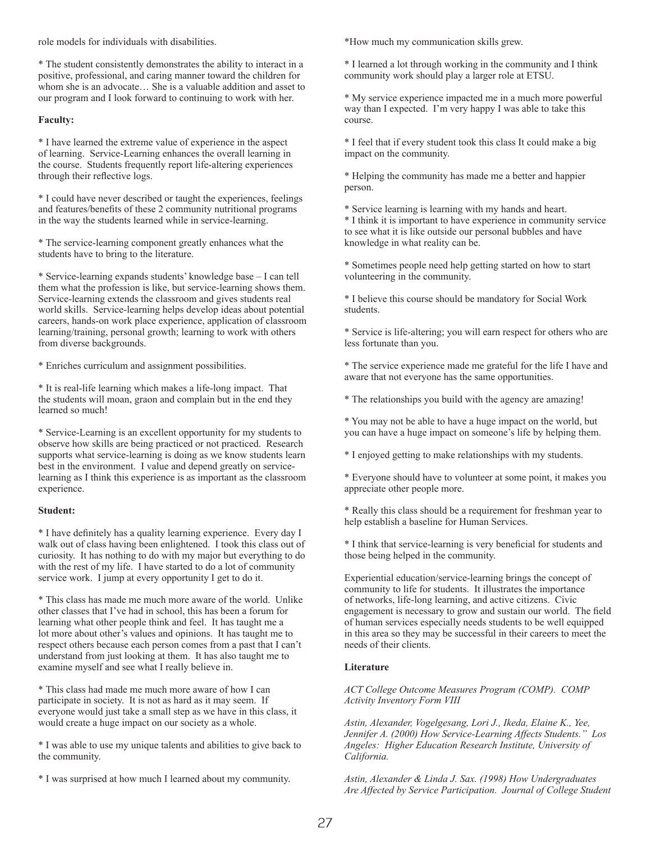role models for individuals with disabilities.

\* The student consistently demonstrates the ability to interact in a positive, professional, and caring manner toward the children for whom she is an advocate… She is a valuable addition and asset to our program and I look forward to continuing to work with her.

#### **Faculty:**

\* I have learned the extreme value of experience in the aspect of learning. Service-Learning enhances the overall learning in the course. Students frequently report life-altering experiences through their reflective logs.

\* I could have never described or taught the experiences, feelings and features/benefits of these 2 community nutritional programs in the way the students learned while in service-learning.

\* The service-learning component greatly enhances what the students have to bring to the literature.

\* Service-learning expands students' knowledge base – I can tell them what the profession is like, but service-learning shows them. Service-learning extends the classroom and gives students real world skills. Service-learning helps develop ideas about potential careers, hands-on work place experience, application of classroom learning/training, personal growth; learning to work with others from diverse backgrounds.

\* Enriches curriculum and assignment possibilities.

\* It is real-life learning which makes a life-long impact. That the students will moan, graon and complain but in the end they learned so much!

\* Service-Learning is an excellent opportunity for my students to observe how skills are being practiced or not practiced. Research supports what service-learning is doing as we know students learn best in the environment. I value and depend greatly on servicelearning as I think this experience is as important as the classroom experience.

#### **Student:**

\* I have definitely has a quality learning experience. Every day I walk out of class having been enlightened. I took this class out of curiosity. It has nothing to do with my major but everything to do with the rest of my life. I have started to do a lot of community service work. I jump at every opportunity I get to do it.

\* This class has made me much more aware of the world. Unlike other classes that I've had in school, this has been a forum for learning what other people think and feel. It has taught me a lot more about other's values and opinions. It has taught me to respect others because each person comes from a past that I can't understand from just looking at them. It has also taught me to examine myself and see what I really believe in.

\* This class had made me much more aware of how I can participate in society. It is not as hard as it may seem. If everyone would just take a small step as we have in this class, it would create a huge impact on our society as a whole.

\* I was able to use my unique talents and abilities to give back to the community.

\* I was surprised at how much I learned about my community.

\*How much my communication skills grew.

\* I learned a lot through working in the community and I think community work should play a larger role at ETSU.

\* My service experience impacted me in a much more powerful way than I expected. I'm very happy I was able to take this course.

\* I feel that if every student took this class It could make a big impact on the community.

\* Helping the community has made me a better and happier person.

\* Service learning is learning with my hands and heart.

\* I think it is important to have experience in community service to see what it is like outside our personal bubbles and have knowledge in what reality can be.

\* Sometimes people need help getting started on how to start volunteering in the community.

\* I believe this course should be mandatory for Social Work students.

\* Service is life-altering; you will earn respect for others who are less fortunate than you.

\* The service experience made me grateful for the life I have and aware that not everyone has the same opportunities.

\* The relationships you build with the agency are amazing!

\* You may not be able to have a huge impact on the world, but you can have a huge impact on someone's life by helping them.

\* I enjoyed getting to make relationships with my students.

\* Everyone should have to volunteer at some point, it makes you appreciate other people more.

\* Really this class should be a requirement for freshman year to help establish a baseline for Human Services.

\* I think that service-learning is very beneficial for students and those being helped in the community.

Experiential education/service-learning brings the concept of community to life for students. It illustrates the importance of networks, life-long learning, and active citizens. Civic engagement is necessary to grow and sustain our world. The field of human services especially needs students to be well equipped in this area so they may be successful in their careers to meet the needs of their clients.

#### **Literature**

*ACT College Outcome Measures Program (COMP). COMP Activity Inventory Form VIII*

*Astin, Alexander, Vogelgesang, Lori J., Ikeda, Elaine K., Yee, Jennifer A. (2000) How Service-Learning Affects Students." Los Angeles: Higher Education Research Institute, University of California.*

*Astin, Alexander & Linda J. Sax. (1998) How Undergraduates Are Affected by Service Participation. Journal of College Student*